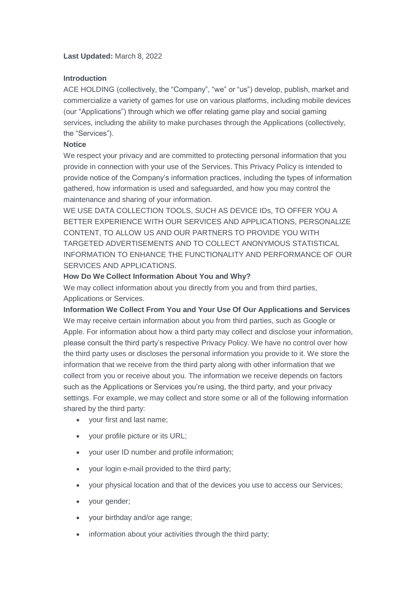### **Last Updated:** March 8, 2022

#### **Introduction**

ACE HOLDING (collectively, the "Company", "we" or "us") develop, publish, market and commercialize a variety of games for use on various platforms, including mobile devices (our "Applications") through which we offer relating game play and social gaming services, including the ability to make purchases through the Applications (collectively, the "Services").

#### **Notice**

We respect your privacy and are committed to protecting personal information that you provide in connection with your use of the Services. This Privacy Policy is intended to provide notice of the Company's information practices, including the types of information gathered, how information is used and safeguarded, and how you may control the maintenance and sharing of your information.

WE USE DATA COLLECTION TOOLS, SUCH AS DEVICE IDs, TO OFFER YOU A BETTER EXPERIENCE WITH OUR SERVICES AND APPLICATIONS, PERSONALIZE CONTENT, TO ALLOW US AND OUR PARTNERS TO PROVIDE YOU WITH TARGETED ADVERTISEMENTS AND TO COLLECT ANONYMOUS STATISTICAL INFORMATION TO ENHANCE THE FUNCTIONALITY AND PERFORMANCE OF OUR SERVICES AND APPLICATIONS.

# **How Do We Collect Information About You and Why?**

We may collect information about you directly from you and from third parties, Applications or Services.

**Information We Collect From You and Your Use Of Our Applications and Services** We may receive certain information about you from third parties, such as Google or Apple. For information about how a third party may collect and disclose your information, please consult the third party's respective Privacy Policy. We have no control over how the third party uses or discloses the personal information you provide to it. We store the information that we receive from the third party along with other information that we collect from you or receive about you. The information we receive depends on factors such as the Applications or Services you're using, the third party, and your privacy settings. For example, we may collect and store some or all of the following information shared by the third party:

- your first and last name;
- your profile picture or its URL;
- your user ID number and profile information;
- your login e-mail provided to the third party;
- your physical location and that of the devices you use to access our Services;
- your gender;
- your birthday and/or age range;
- information about your activities through the third party;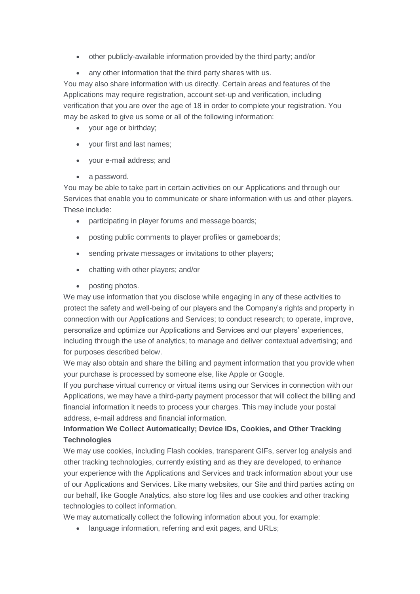- other publicly-available information provided by the third party; and/or
- any other information that the third party shares with us.

You may also share information with us directly. Certain areas and features of the Applications may require registration, account set-up and verification, including verification that you are over the age of 18 in order to complete your registration. You may be asked to give us some or all of the following information:

- your age or birthday;
- vour first and last names:
- your e-mail address; and
- a password.

You may be able to take part in certain activities on our Applications and through our Services that enable you to communicate or share information with us and other players. These include:

- participating in player forums and message boards;
- posting public comments to player profiles or gameboards;
- sending private messages or invitations to other players;
- chatting with other players; and/or
- posting photos.

We may use information that you disclose while engaging in any of these activities to protect the safety and well-being of our players and the Company's rights and property in connection with our Applications and Services; to conduct research; to operate, improve, personalize and optimize our Applications and Services and our players' experiences, including through the use of analytics; to manage and deliver contextual advertising; and for purposes described below.

We may also obtain and share the billing and payment information that you provide when your purchase is processed by someone else, like Apple or Google.

If you purchase virtual currency or virtual items using our Services in connection with our Applications, we may have a third-party payment processor that will collect the billing and financial information it needs to process your charges. This may include your postal address, e-mail address and financial information.

# **Information We Collect Automatically; Device IDs, Cookies, and Other Tracking Technologies**

We may use cookies, including Flash cookies, transparent GIFs, server log analysis and other tracking technologies, currently existing and as they are developed, to enhance your experience with the Applications and Services and track information about your use of our Applications and Services. Like many websites, our Site and third parties acting on our behalf, like Google Analytics, also store log files and use cookies and other tracking technologies to collect information.

We may automatically collect the following information about you, for example:

language information, referring and exit pages, and URLs;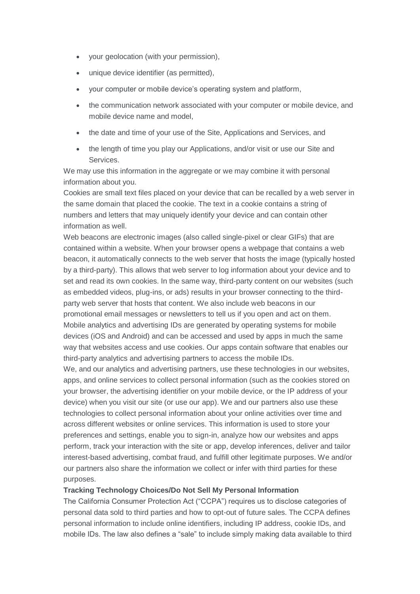- your geolocation (with your permission),
- unique device identifier (as permitted),
- your computer or mobile device's operating system and platform,
- the communication network associated with your computer or mobile device, and mobile device name and model,
- the date and time of your use of the Site, Applications and Services, and
- the length of time you play our Applications, and/or visit or use our Site and Services.

We may use this information in the aggregate or we may combine it with personal information about you.

Cookies are small text files placed on your device that can be recalled by a web server in the same domain that placed the cookie. The text in a cookie contains a string of numbers and letters that may uniquely identify your device and can contain other information as well.

Web beacons are electronic images (also called single-pixel or clear GIFs) that are contained within a website. When your browser opens a webpage that contains a web beacon, it automatically connects to the web server that hosts the image (typically hosted by a third-party). This allows that web server to log information about your device and to set and read its own cookies. In the same way, third-party content on our websites (such as embedded videos, plug-ins, or ads) results in your browser connecting to the thirdparty web server that hosts that content. We also include web beacons in our promotional email messages or newsletters to tell us if you open and act on them. Mobile analytics and advertising IDs are generated by operating systems for mobile devices (iOS and Android) and can be accessed and used by apps in much the same way that websites access and use cookies. Our apps contain software that enables our third-party analytics and advertising partners to access the mobile IDs.

We, and our analytics and advertising partners, use these technologies in our websites, apps, and online services to collect personal information (such as the cookies stored on your browser, the advertising identifier on your mobile device, or the IP address of your device) when you visit our site (or use our app). We and our partners also use these technologies to collect personal information about your online activities over time and across different websites or online services. This information is used to store your preferences and settings, enable you to sign-in, analyze how our websites and apps perform, track your interaction with the site or app, develop inferences, deliver and tailor interest-based advertising, combat fraud, and fulfill other legitimate purposes. We and/or our partners also share the information we collect or infer with third parties for these purposes.

# **Tracking Technology Choices/Do Not Sell My Personal Information**

The California Consumer Protection Act ("CCPA") requires us to disclose categories of personal data sold to third parties and how to opt-out of future sales. The CCPA defines personal information to include online identifiers, including IP address, cookie IDs, and mobile IDs. The law also defines a "sale" to include simply making data available to third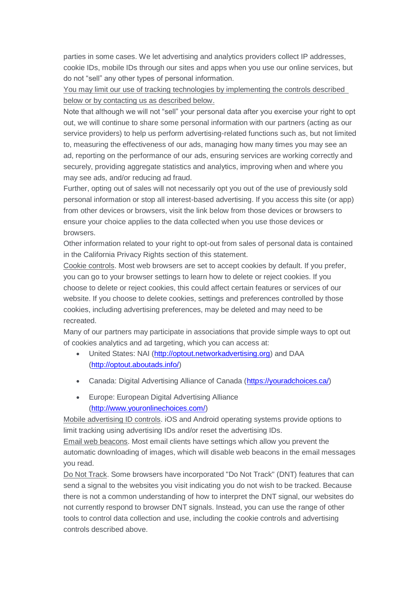parties in some cases. We let advertising and analytics providers collect IP addresses, cookie IDs, mobile IDs through our sites and apps when you use our online services, but do not "sell" any other types of personal information.

You may limit our use of tracking technologies by implementing the controls described below or by contacting us as described below.

Note that although we will not "sell" your personal data after you exercise your right to opt out, we will continue to share some personal information with our partners (acting as our service providers) to help us perform advertising-related functions such as, but not limited to, measuring the effectiveness of our ads, managing how many times you may see an ad, reporting on the performance of our ads, ensuring services are working correctly and securely, providing aggregate statistics and analytics, improving when and where you may see ads, and/or reducing ad fraud.

Further, opting out of sales will not necessarily opt you out of the use of previously sold personal information or stop all interest-based advertising. If you access this site (or app) from other devices or browsers, visit the link below from those devices or browsers to ensure your choice applies to the data collected when you use those devices or browsers.

Other information related to your right to opt-out from sales of personal data is contained in the California Privacy Rights section of this statement.

Cookie controls. Most web browsers are set to accept cookies by default. If you prefer, you can go to your browser settings to learn how to delete or reject cookies. If you choose to delete or reject cookies, this could affect certain features or services of our website. If you choose to delete cookies, settings and preferences controlled by those cookies, including advertising preferences, may be deleted and may need to be recreated.

Many of our partners may participate in associations that provide simple ways to opt out of cookies analytics and ad targeting, which you can access at:

- United States: NAI [\(http://optout.networkadvertising.org\)](http://optout.networkadvertising.org/) and DAA [\(http://optout.aboutads.info/\)](http://optout.aboutads.info/)
- Canada: Digital Advertising Alliance of Canada [\(https://youradchoices.ca/\)](https://youradchoices.ca/)
- Europe: European Digital Advertising Alliance [\(http://www.youronlinechoices.com/\)](http://www.youronlinechoices.com/)

Mobile advertising ID controls. iOS and Android operating systems provide options to limit tracking using advertising IDs and/or reset the advertising IDs.

Email web beacons. Most email clients have settings which allow you prevent the automatic downloading of images, which will disable web beacons in the email messages you read.

Do Not Track. Some browsers have incorporated "Do Not Track" (DNT) features that can send a signal to the websites you visit indicating you do not wish to be tracked. Because there is not a common understanding of how to interpret the DNT signal, our websites do not currently respond to browser DNT signals. Instead, you can use the range of other tools to control data collection and use, including the cookie controls and advertising controls described above.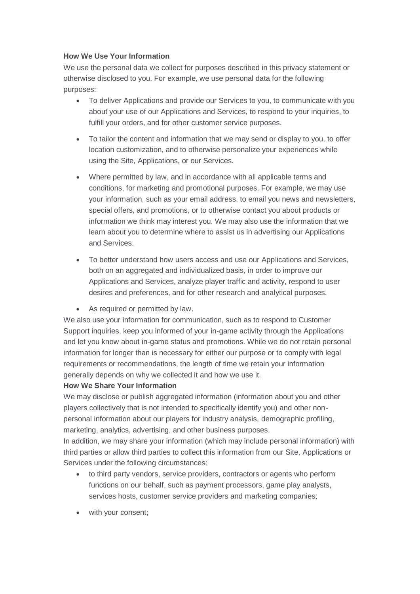# **How We Use Your Information**

We use the personal data we collect for purposes described in this privacy statement or otherwise disclosed to you. For example, we use personal data for the following purposes:

- To deliver Applications and provide our Services to you, to communicate with you about your use of our Applications and Services, to respond to your inquiries, to fulfill your orders, and for other customer service purposes.
- To tailor the content and information that we may send or display to you, to offer location customization, and to otherwise personalize your experiences while using the Site, Applications, or our Services.
- Where permitted by law, and in accordance with all applicable terms and conditions, for marketing and promotional purposes. For example, we may use your information, such as your email address, to email you news and newsletters, special offers, and promotions, or to otherwise contact you about products or information we think may interest you. We may also use the information that we learn about you to determine where to assist us in advertising our Applications and Services.
- To better understand how users access and use our Applications and Services, both on an aggregated and individualized basis, in order to improve our Applications and Services, analyze player traffic and activity, respond to user desires and preferences, and for other research and analytical purposes.
- As required or permitted by law.

We also use your information for communication, such as to respond to Customer Support inquiries, keep you informed of your in-game activity through the Applications and let you know about in-game status and promotions. While we do not retain personal information for longer than is necessary for either our purpose or to comply with legal requirements or recommendations, the length of time we retain your information generally depends on why we collected it and how we use it.

# **How We Share Your Information**

We may disclose or publish aggregated information (information about you and other players collectively that is not intended to specifically identify you) and other nonpersonal information about our players for industry analysis, demographic profiling, marketing, analytics, advertising, and other business purposes.

In addition, we may share your information (which may include personal information) with third parties or allow third parties to collect this information from our Site, Applications or Services under the following circumstances:

- to third party vendors, service providers, contractors or agents who perform functions on our behalf, such as payment processors, game play analysts, services hosts, customer service providers and marketing companies;
- with your consent;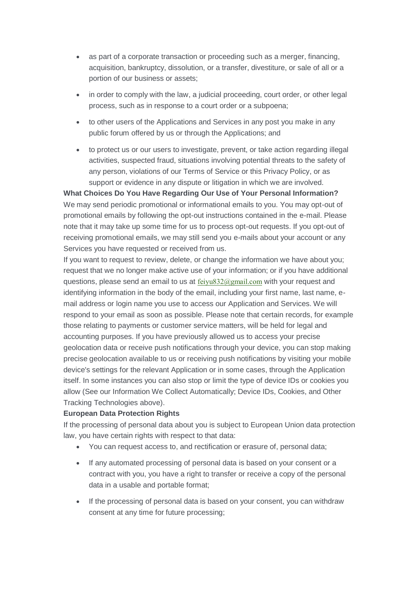- as part of a corporate transaction or proceeding such as a merger, financing, acquisition, bankruptcy, dissolution, or a transfer, divestiture, or sale of all or a portion of our business or assets;
- in order to comply with the law, a judicial proceeding, court order, or other legal process, such as in response to a court order or a subpoena;
- to other users of the Applications and Services in any post you make in any public forum offered by us or through the Applications; and
- to protect us or our users to investigate, prevent, or take action regarding illegal activities, suspected fraud, situations involving potential threats to the safety of any person, violations of our Terms of Service or this Privacy Policy, or as support or evidence in any dispute or litigation in which we are involved.

**What Choices Do You Have Regarding Our Use of Your Personal Information?** We may send periodic promotional or informational emails to you. You may opt-out of promotional emails by following the opt-out instructions contained in the e-mail. Please note that it may take up some time for us to process opt-out requests. If you opt-out of receiving promotional emails, we may still send you e-mails about your account or any Services you have requested or received from us.

If you want to request to review, delete, or change the information we have about you; request that we no longer make active use of your information; or if you have additional questions, please send an email to us at [feiyu832@gmail.com](mailto:feiyu832@gmail.com) with your request and identifying information in the body of the email, including your first name, last name, email address or login name you use to access our Application and Services. We will respond to your email as soon as possible. Please note that certain records, for example those relating to payments or customer service matters, will be held for legal and accounting purposes. If you have previously allowed us to access your precise geolocation data or receive push notifications through your device, you can stop making precise geolocation available to us or receiving push notifications by visiting your mobile device's settings for the relevant Application or in some cases, through the Application itself. In some instances you can also stop or limit the type of device IDs or cookies you allow (See our Information We Collect Automatically; Device IDs, Cookies, and Other Tracking Technologies above).

# **European Data Protection Rights**

If the processing of personal data about you is subject to European Union data protection law, you have certain rights with respect to that data:

- You can request access to, and rectification or erasure of, personal data;
- If any automated processing of personal data is based on your consent or a contract with you, you have a right to transfer or receive a copy of the personal data in a usable and portable format;
- If the processing of personal data is based on your consent, you can withdraw consent at any time for future processing;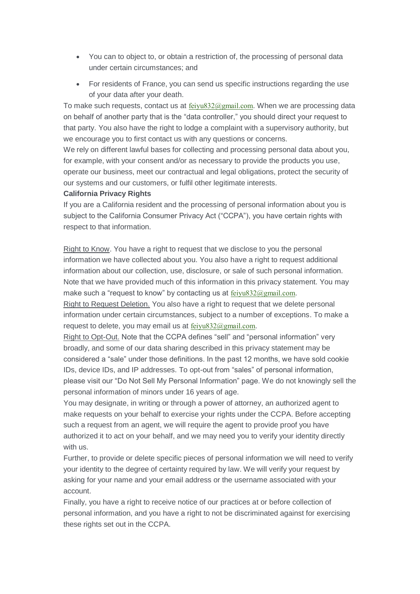- You can to object to, or obtain a restriction of, the processing of personal data under certain circumstances; and
- For residents of France, you can send us specific instructions regarding the use of your data after your death.

To make such requests, contact us at  $f{e}$ ivu832@gmail.com. When we are processing data on behalf of another party that is the "data controller," you should direct your request to that party. You also have the right to lodge a complaint with a supervisory authority, but we encourage you to first contact us with any questions or concerns.

We rely on different lawful bases for collecting and processing personal data about you, for example, with your consent and/or as necessary to provide the products you use, operate our business, meet our contractual and legal obligations, protect the security of our systems and our customers, or fulfil other legitimate interests.

#### **California Privacy Rights**

If you are a California resident and the processing of personal information about you is subject to the California Consumer Privacy Act ("CCPA"), you have certain rights with respect to that information.

Right to Know. You have a right to request that we disclose to you the personal information we have collected about you. You also have a right to request additional information about our collection, use, disclosure, or sale of such personal information. Note that we have provided much of this information in this privacy statement. You may make such a "request to know" by contacting us at [feiyu832@gmail.com](mailto:feiyu832@gmail.com).

Right to Request Deletion. You also have a right to request that we delete personal information under certain circumstances, subject to a number of exceptions. To make a request to delete, you may email us at [feiyu832@gmail.com](mailto:feiyu832@gmail.com).

Right to Opt-Out. Note that the CCPA defines "sell" and "personal information" very broadly, and some of our data sharing described in this privacy statement may be considered a "sale" under those definitions. In the past 12 months, we have sold cookie IDs, device IDs, and IP addresses. To opt-out from "sales" of personal information, please visit our "Do Not Sell My Personal Information" page. We do not knowingly sell the personal information of minors under 16 years of age.

You may designate, in writing or through a power of attorney, an authorized agent to make requests on your behalf to exercise your rights under the CCPA. Before accepting such a request from an agent, we will require the agent to provide proof you have authorized it to act on your behalf, and we may need you to verify your identity directly with us.

Further, to provide or delete specific pieces of personal information we will need to verify your identity to the degree of certainty required by law. We will verify your request by asking for your name and your email address or the username associated with your account.

Finally, you have a right to receive notice of our practices at or before collection of personal information, and you have a right to not be discriminated against for exercising these rights set out in the CCPA.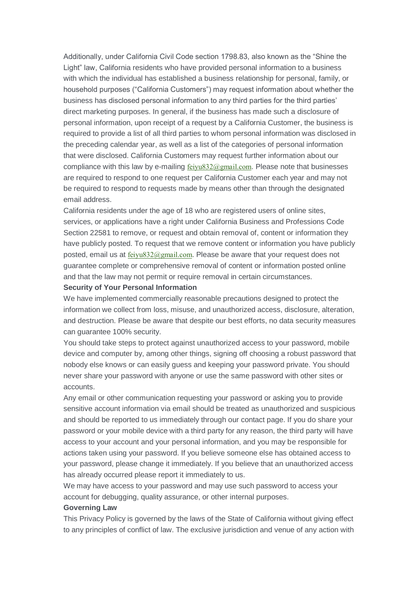Additionally, under California Civil Code section 1798.83, also known as the "Shine the Light" law, California residents who have provided personal information to a business with which the individual has established a business relationship for personal, family, or household purposes ("California Customers") may request information about whether the business has disclosed personal information to any third parties for the third parties' direct marketing purposes. In general, if the business has made such a disclosure of personal information, upon receipt of a request by a California Customer, the business is required to provide a list of all third parties to whom personal information was disclosed in the preceding calendar year, as well as a list of the categories of personal information that were disclosed. California Customers may request further information about our compliance with this law by e-mailing  $f_{\text{e}}$  regional.com. Please note that businesses are required to respond to one request per California Customer each year and may not be required to respond to requests made by means other than through the designated email address.

California residents under the age of 18 who are registered users of online sites, services, or applications have a right under California Business and Professions Code Section 22581 to remove, or request and obtain removal of, content or information they have publicly posted. To request that we remove content or information you have publicly posted, email us at [feiyu832@gmail.com](mailto:feiyu832@gmail.com). Please be aware that your request does not guarantee complete or comprehensive removal of content or information posted online and that the law may not permit or require removal in certain circumstances.

#### **Security of Your Personal Information**

We have implemented commercially reasonable precautions designed to protect the information we collect from loss, misuse, and unauthorized access, disclosure, alteration, and destruction. Please be aware that despite our best efforts, no data security measures can guarantee 100% security.

You should take steps to protect against unauthorized access to your password, mobile device and computer by, among other things, signing off choosing a robust password that nobody else knows or can easily guess and keeping your password private. You should never share your password with anyone or use the same password with other sites or accounts.

Any email or other communication requesting your password or asking you to provide sensitive account information via email should be treated as unauthorized and suspicious and should be reported to us immediately through our contact page. If you do share your password or your mobile device with a third party for any reason, the third party will have access to your account and your personal information, and you may be responsible for actions taken using your password. If you believe someone else has obtained access to your password, please change it immediately. If you believe that an unauthorized access has already occurred please report it immediately to us.

We may have access to your password and may use such password to access your account for debugging, quality assurance, or other internal purposes.

#### **Governing Law**

This Privacy Policy is governed by the laws of the State of California without giving effect to any principles of conflict of law. The exclusive jurisdiction and venue of any action with